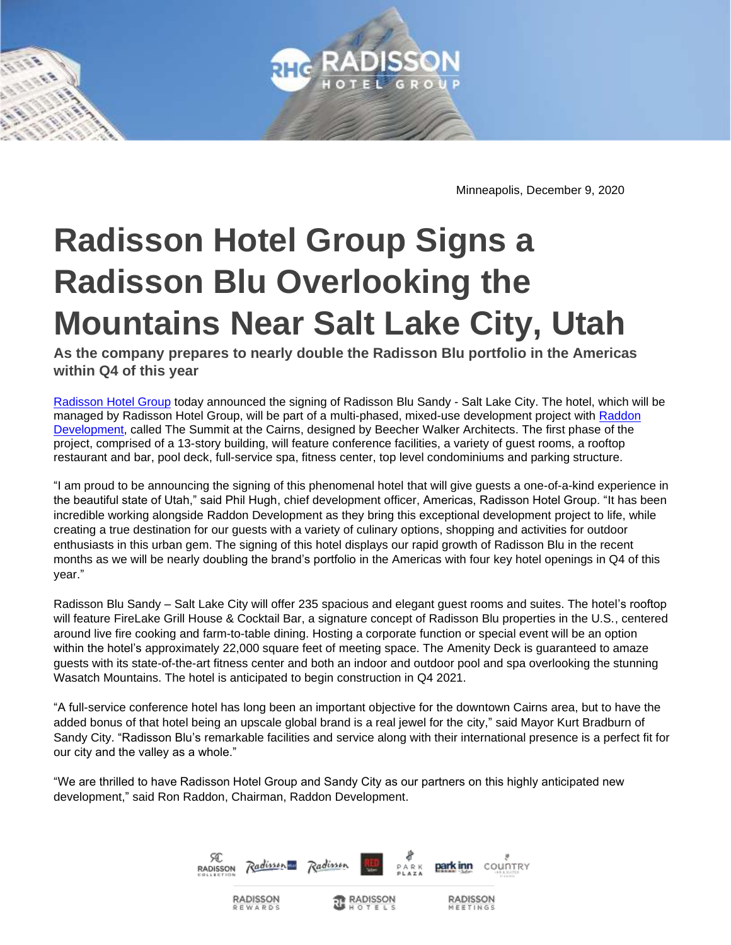

Minneapolis, December 9, 2020

## **Radisson Hotel Group Signs a Radisson Blu Overlooking the Mountains Near Salt Lake City, Utah**

**As the company prepares to nearly double the Radisson Blu portfolio in the Americas within Q4 of this year** 

[Radisson Hotel Group](https://www.radissonhotelgroup.com/) today announced the signing of Radisson Blu Sandy - Salt Lake City. The hotel, which will be managed by Radisson Hotel Group, will be part of a multi-phased, mixed-use development project with [Raddon](https://www.raddondevelopment.com/)  [Development,](https://www.raddondevelopment.com/) called The Summit at the Cairns, designed by Beecher Walker Architects. The first phase of the project, comprised of a 13-story building, will feature conference facilities, a variety of guest rooms, a rooftop restaurant and bar, pool deck, full-service spa, fitness center, top level condominiums and parking structure.

"I am proud to be announcing the signing of this phenomenal hotel that will give guests a one-of-a-kind experience in the beautiful state of Utah," said Phil Hugh, chief development officer, Americas, Radisson Hotel Group. "It has been incredible working alongside Raddon Development as they bring this exceptional development project to life, while creating a true destination for our guests with a variety of culinary options, shopping and activities for outdoor enthusiasts in this urban gem. The signing of this hotel displays our rapid growth of Radisson Blu in the recent months as we will be nearly doubling the brand's portfolio in the Americas with four key hotel openings in Q4 of this year."

Radisson Blu Sandy – Salt Lake City will offer 235 spacious and elegant guest rooms and suites. The hotel's rooftop will feature FireLake Grill House & Cocktail Bar, a signature concept of Radisson Blu properties in the U.S., centered around live fire cooking and farm-to-table dining. Hosting a corporate function or special event will be an option within the hotel's approximately 22,000 square feet of meeting space. The Amenity Deck is guaranteed to amaze guests with its state-of-the-art fitness center and both an indoor and outdoor pool and spa overlooking the stunning Wasatch Mountains. The hotel is anticipated to begin construction in Q4 2021.

"A full-service conference hotel has long been an important objective for the downtown Cairns area, but to have the added bonus of that hotel being an upscale global brand is a real jewel for the city," said Mayor Kurt Bradburn of Sandy City. "Radisson Blu's remarkable facilities and service along with their international presence is a perfect fit for our city and the valley as a whole."

"We are thrilled to have Radisson Hotel Group and Sandy City as our partners on this highly anticipated new development," said Ron Raddon, Chairman, Raddon Development.

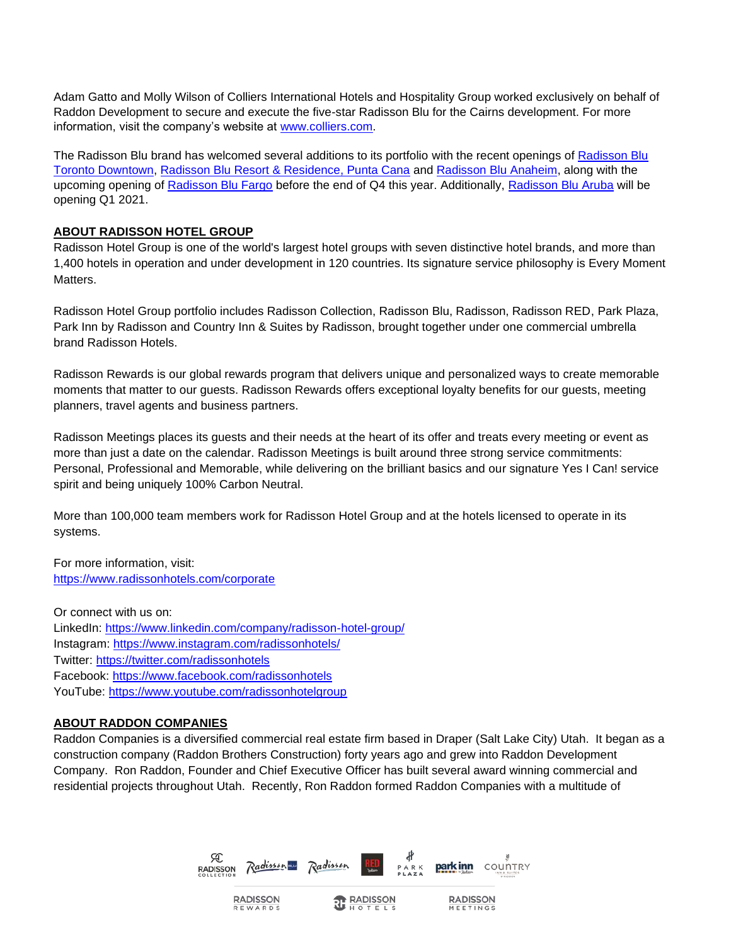Adam Gatto and Molly Wilson of Colliers International Hotels and Hospitality Group worked exclusively on behalf of Raddon Development to secure and execute the five-star Radisson Blu for the Cairns development. For more information, visit the company's website at [www.colliers.com.](http://www.colliers.com/)

The [Radisson Blu](https://www.radissonhotels.com/en-us/hotels/radisson-blu-toronto?cid=a:se+b:gmb+c:amer+i:local+e:rdb+d:ca+h:ONTORONT) brand has welcomed several additions to its portfolio with the recent openings of Radisson Blu [Toronto Downtown,](https://www.radissonhotels.com/en-us/hotels/radisson-blu-toronto?cid=a:se+b:gmb+c:amer+i:local+e:rdb+d:ca+h:ONTORONT) [Radisson Blu Resort & Residence, Punta Cana](https://www.radissonhotels.com/en-us/hotels/radisson-blu-resort-punta-cana?cid=a:se+b:gmb+c:amer+i:local+e:rdb+d:carib+f:en-US+h:DOMPCDO) an[d Radisson Blu Anaheim,](https://www.radissonhotels.com/en-us/hotels/radisson-blu-anaheim?cid=a:se+b:gmb+c:amer+i:local+e:rdb+d:us+h:USAANAC) along with the upcoming opening of [Radisson Blu Fargo](https://www.radissonhotels.com/en-us/hotels/radisson-fargo?cid=a:se+b:gmb+c:amer+i:local+e:rad+d:us+h:FARGO) before the end of Q4 this year. Additionally, [Radisson Blu Aruba](https://www.radissonhotels.com/en-us/hotels/radisson-blu-aruba) will be opening Q1 2021.

## **ABOUT RADISSON HOTEL GROUP**

Radisson Hotel Group is one of the world's largest hotel groups with seven distinctive hotel brands, and more than 1,400 hotels in operation and under development in 120 countries. Its signature service philosophy is Every Moment Matters.

Radisson Hotel Group portfolio includes Radisson Collection, Radisson Blu, Radisson, Radisson RED, Park Plaza, Park Inn by Radisson and Country Inn & Suites by Radisson, brought together under one commercial umbrella brand Radisson Hotels.

Radisson Rewards is our global rewards program that delivers unique and personalized ways to create memorable moments that matter to our guests. Radisson Rewards offers exceptional loyalty benefits for our guests, meeting planners, travel agents and business partners.

Radisson Meetings places its guests and their needs at the heart of its offer and treats every meeting or event as more than just a date on the calendar. Radisson Meetings is built around three strong service commitments: Personal, Professional and Memorable, while delivering on the brilliant basics and our signature Yes I Can! service spirit and being uniquely 100% Carbon Neutral.

More than 100,000 team members work for Radisson Hotel Group and at the hotels licensed to operate in its systems.

For more information, visit: <https://www.radissonhotels.com/corporate>

Or connect with us on: LinkedIn:<https://www.linkedin.com/company/radisson-hotel-group/> Instagram: <https://www.instagram.com/radissonhotels/> Twitter: <https://twitter.com/radissonhotels> Facebook:<https://www.facebook.com/radissonhotels> YouTube:<https://www.youtube.com/radissonhotelgroup>

**RADISSON** 

REWARD

## **ABOUT RADDON COMPANIES**

Raddon Companies is a diversified commercial real estate firm based in Draper (Salt Lake City) Utah. It began as a construction company (Raddon Brothers Construction) forty years ago and grew into Raddon Development Company. Ron Raddon, Founder and Chief Executive Officer has built several award winning commercial and residential projects throughout Utah. Recently, Ron Raddon formed Raddon Companies with a multitude of



**T** RADISSON

**RADISSON**